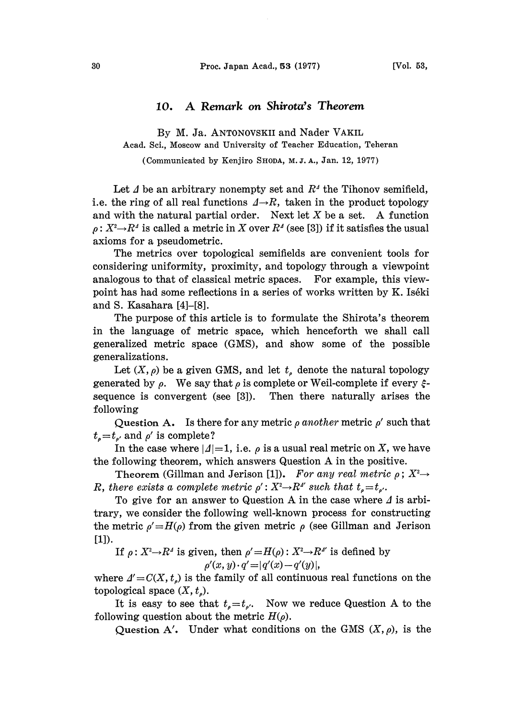## 10. A Remark on Shirota's Theorem

By M. Ja. ANTONOVSKII and Nader VAKIL Acad. Sci., Moscow and University of Teacher Education, Teheran

(Communicated by Kenjiro SHODA, M.J.A., Jan. 12, 1977)

Let  $\Lambda$  be an arbitrary nonempty set and  $R^{\Lambda}$  the Tihonov semifield, i.e. the ring of all real functions  $\Delta \rightarrow R$ , taken in the product topology and with the natural partial order. Next let  $X$  be a set. A function  $\rho: X^2 \rightarrow R^4$  is called a metric in X over  $R^4$  (see [3]) if it satisfies the usual axioms for a pseudometric.

The metrics over topological semifields are convenient tools for considering uniformity, proximity, and topology through a viewpoint analogous to that of classical metric spaces. For example, this viewpoint has had some reflections in a series of works written by K. Iséki and S. Kasahara [4]-[8].

The purpose of this article is to formulate the Shirota's theorem in the language of metric space, which henceforth we shall call generalized metric space (GMS), and show some of the possible generalizations.

Let  $(X, \rho)$  be a given GMS, and let  $t_{\rho}$  denote the natural topology generated by  $\rho$ . We say that  $\rho$  is complete or Weil-complete if every  $\xi$ sequence is convergent (see [3]). following Then there naturally arises the

 $t_{\scriptscriptstyle \rho}\!=\!t_{\scriptscriptstyle \rho'}$  and  $\rho'$  is complete? Question A. Is there for any metric  $\rho$  another metric  $\rho'$  such that

In the case where  $|A|=1$ , i.e.  $\rho$  is a usual real metric on X, we have the following theorem, which answers Question A in the positive.

Theorem (Gillman and Jerison [1]). For any real metric  $\rho$ ;  $X^2 \rightarrow$ R, there exists a complete metric  $\rho' : X^2 \to \mathbb{R}^4$  such that  $t_e = t_{e'}$ .

To give for an answer to Question A in the case where  $\Delta$  is arbitrary, we consider the following well-known process for constructing the metric  $\rho' = H(\rho)$  from the given metric  $\rho$  (see Gillman and Jerison [1]).

If  $\rho: X^2 \rightarrow R^4$  is given, then  $\rho' = H(\rho): X^2 \rightarrow R^4$  is defined by  $\rho'(x, y) \cdot q' = |q'(x) - q'(y)|,$ 

where  $\Delta' = C(X, t_o)$  is the family of all continuous real functions on the topological space  $(X, t_{\rho}).$ 

It is easy to see that  $t_{\rho}=t_{\rho}$ . Now we reduce Question A to the following question about the metric  $H(\rho)$ .

Question A'. Under what conditions on the GMS  $(X, \rho)$ , is the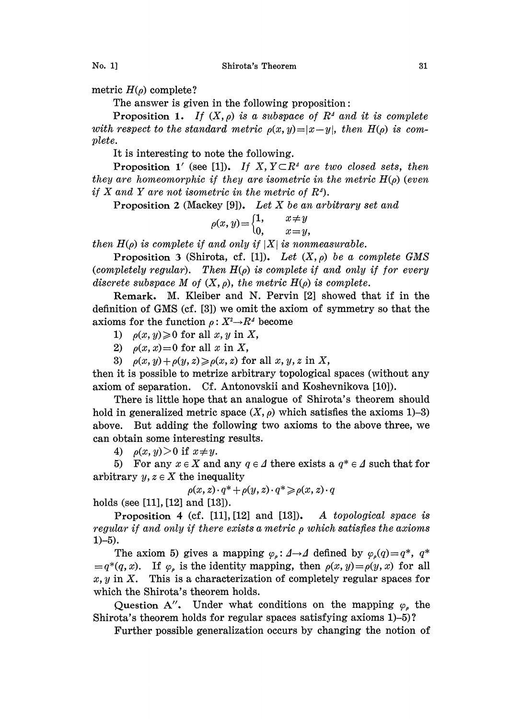metric  $H(\rho)$  complete?

The answer is given in the following proposition:

Proposition 1. If  $(X, \rho)$  is a subspace of  $R^4$  and it is complete with respect to the standard metric  $\rho(x, y) = |x-y|$ , then  $H(\rho)$  is complete.

It is interesting to note the following.

Proposition 1' (see [1]). If X,  $Y \subset \mathbb{R}^4$  are two closed sets, then they are homeomorphic if they are isometric in the metric  $H(\rho)$  (even if X and Y are not isometric in the metric of  $R<sup>4</sup>$ .

Proposition 2 (Mackey [9]). Let X be an arbitrary set and

$$
\rho(x,y) = \begin{cases} 1, & x \neq y \\ 0, & x = y, \end{cases}
$$

then  $H(\rho)$  is complete if and only if  $|X|$  is nonmeasurable.

Proposition 3 (Shirota, cf. [1]). Let  $(X, \rho)$  be a complete GMS (completely regular). Then  $H(\rho)$  is complete if and only if for every discrete subspace M of  $(X, \rho)$ , the metric  $H(\rho)$  is complete.

Remark. M. Kleiber and N. Pervin [2] showed that if in the definition of GMS (cf. [3]) we omit the axiom of symmetry so that the axioms for the function  $\rho : X^2 \rightarrow R^4$  become

1)  $\rho(x, y) \geq 0$  for all x, y in X,

2)  $\rho(x, x) = 0$  for all x in X,

3)  $\rho(x, y) + \rho(y, z) \ge \rho(x, z)$  for all  $x, y, z$  in X,

then it is possible to metrize arbitrary topological spaces (without any axiom of separation. Cf. Antonovskii and Koshevnikova [10]).

There is little hope that an analogue of Shirota's theorem should hold in generalized metric space  $(X, \rho)$  which satisfies the axioms 1)-3) above. But adding the following two axioms to the above three, we can obtain some interesting results.

4)  $\rho(x, y) > 0$  if  $x \neq y$ .

5) For any  $x \in X$  and any  $q \in \Delta$  there exists a  $q^* \in \Delta$  such that for arbitrary  $y, z \in X$  the inequality

$$
\rho(x,z)\cdot q^* + \rho(y,z)\cdot q^* \geqslant \rho(x,z)\cdot q
$$

holds (see [11], [12] and [13]).

Proposition 4 (cf. [11], [12] and [13]). A topological space is regular if and only if there exists a metric  $\rho$  which satisfies the axioms  $1) - 5$ ).

The axiom 5) gives a mapping  $\varphi_{\rho} : A \rightarrow A$  defined by  $\varphi_{\rho}(q) = q^*$ ,  $q^*$  $=q^*(q, x)$ . If  $\varphi$ , is the identity mapping, then  $\rho(x, y)=\rho(y, x)$  for all  $x, y$  in X. This is a characterization of completely regular spaces for which the Shirota's theorem holds.

Question A". Under what conditions on the mapping  $\varphi$ , the Shirota's theorem holds for regular spaces satisfying axioms 1)-5)?

Further possible generalization occurs by changing the notion of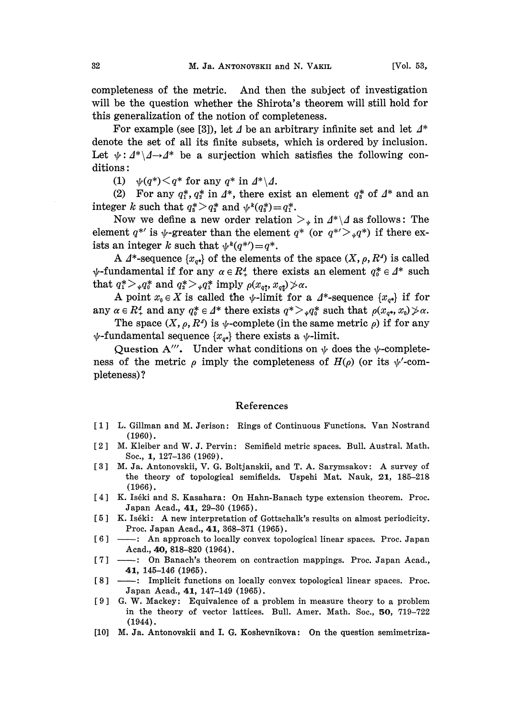completeness of the metric. And then the subject of investigation will be the question whether the Shirota's theorem will still hold for this generalization of the notion of completeness.

For example (see [3]), let  $\Delta$  be an arbitrary infinite set and let  $\Delta^*$ denote the set of all its finite subsets, which is ordered by inclusion. Let  $\psi: \Delta^* \setminus \Delta \rightarrow \Delta^*$  be a surjection which satisfies the following conditions:

(1)  $\psi(q^*) \leq q^*$  for any  $q^*$  in  $\Delta^* \backslash \Delta$ .

(2) For any  $q_1^*, q_2^*$  in  $\Delta^*$ , there exist an element  $q_3^*$  of  $\Delta^*$  and an <br>rer k such that  $\alpha^* > \alpha^*$  and  $\psi^k(\alpha^*) = \alpha^*$ integer k such that  $q^*_s > q^*_2$  and  $\psi^k(q^*_s) = q^*_1$ .<br>Now we define a new order relation

Now we define a new order relation  $\sum_{\psi}$  in  $\Lambda^* \setminus \Lambda$  as follows: The element  $q^{*'}$  is  $\psi$ -greater than the element  $q^*$  (or  $q^{*'}\rangle_{\psi}q^{*}$ ) if there exists an integer k such that  $\psi^k(q^{*}) = q^*$ ists an integer k such that  $\psi^k(q^{*\prime})=q^*$ .

A  $\Lambda^*$ -sequence  $\{x_{\sigma^*}\}\$  of the elements of the space  $(X, \rho, R^4)$  is called  $\psi$ -fundamental if for any  $\alpha \in R_+^4$  there exists an element  $q_0^* \in \Delta^*$  such<br>that  $\alpha^* > \alpha^*$  and  $\alpha^* > \alpha^*$  imply  $\alpha^* = \alpha^* > \alpha^*$ . that  $q_1^* >_{\psi} q_0^*$  and  $q_2^* >_{\psi} q_1^*$  imply  $\rho(x_{q_1^*}, x_{q_2^*}) \nless \alpha$ .

A point  $x_0 \in X$  is called the  $\psi$ -limit for a  $\Lambda^*$ -sequence  $\{x_{\sigma^*}\}$  if for any  $\alpha \in \mathbb{R}^4_+$  and any  $q_0^* \in \Delta^*$  there exists  $q^* > \mathcal{A}^*_0$  such that  $\rho(x_{q^*}, x_0) \ngeq \alpha$ .

The space  $(X, \rho, R^4)$  is  $\psi$ -complete (in the same metric  $\rho$ ) if for any  $\psi$ -fundamental sequence  $\{x_{q*}\}\$  there exists a  $\psi$ -limit.

Question A'''. Under what conditions on  $\psi$  does the  $\psi$ -completeness of the metric  $\rho$  imply the completeness of  $H(\rho)$  (or its  $\psi'$ -completeness) ?

## References

- [1] L. Gillman and M. Jerison: Rings of Continuous Functions. Van Nostrand (1960).
- [2] M. Kleiber and W. J. Pervin: Semifield metric spaces. Bull. Austral. Math. Soc., 1, 127-136 (1969).
- [3] M. Ja. Antonovskii, V. G. Boltjanskii, and T. A. Sarymsakov: A survey of the theory of topological semifields. Uspehi Mat. Nauk, 21, 185-218 (1966).
- [4] K. Iséki and S. Kasahara: On Hahn-Banach type extension theorem. Proc. Japan Acad., 41, 29-30 (1965).
- [5] K. Iséki: A new interpretation of Gottschalk's results on almost periodicity. Proc. Japan Acad., 41, 368-371 (1965).
- [6] : An approach to locally convex topological linear spaces. Proc. Japan Acad., 40, 818-820 (1964).
- [7] -- : On Banach's theorem on contraction mappings. Proc. Japan Acad., 41, 145-146 (1965).
- [8] ——: Implicit functions on locally convex topological linear spaces. Proc. Japan Acad., 41, 147-149 (1965).
- [9] G. W. Mackey: Equivalence of a problem in measure theory to a problem in the theory of vector lattices. Bull. Amer. Math. Soc., 50, 719-722 (1944).
- [10] M. Ja. Antonovskii and I. G. Koshevnikova: On the question semimetriza-